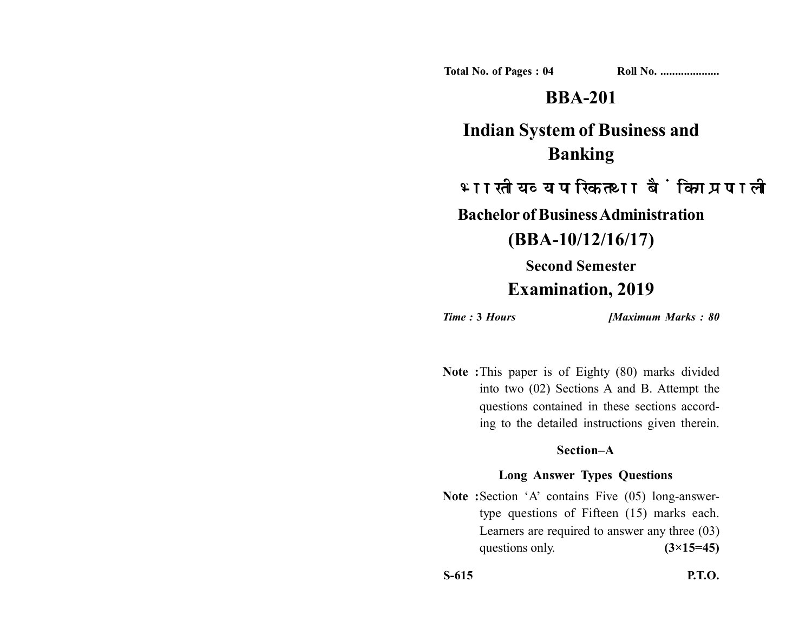**Total No. of Pages : 04 Roll No. ...................** 

# **BBA-201**

# **Indian System of Business and Banking**

भारतीय व्यापारिक तथा बैंकिंग प्रणाली

**Bachelor of Business Administration**

**(BBA-10/12/16/17)**

**Second Semester**

## **Examination, 2019**

*Time :* **3** *Hours [Maximum Marks : 80*

**Note :**This paper is of Eighty (80) marks divided into two (02) Sections A and B. Attempt the questions contained in these sections according to the detailed instructions given therein.

### **Section–A**

### **Long Answer Types Questions**

Note : Section 'A' contains Five (05) long-answertype questions of Fifteen (15) marks each. Learners are required to answer any three (03) questions only. **(3×15=45)** 

**S-615 P.T.O.**